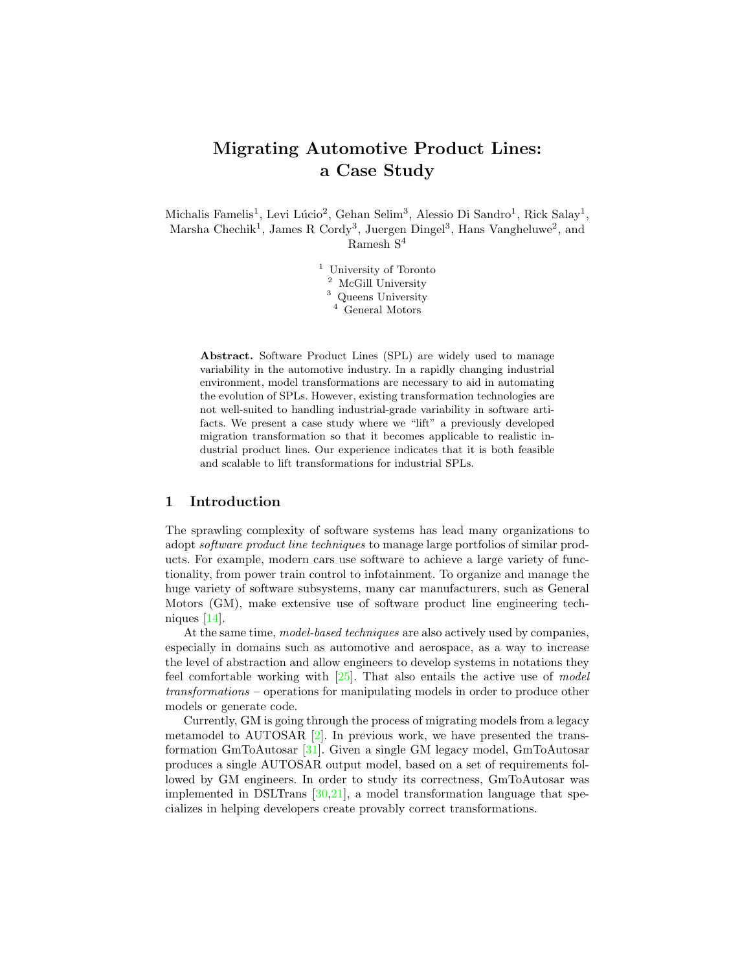# Migrating Automotive Product Lines: a Case Study

Michalis Famelis<sup>1</sup>, Levi Lúcio<sup>2</sup>, Gehan Selim<sup>3</sup>, Alessio Di Sandro<sup>1</sup>, Rick Salay<sup>1</sup>, Marsha Chechik<sup>1</sup>, James R Cordy<sup>3</sup>, Juergen Dingel<sup>3</sup>, Hans Vangheluwe<sup>2</sup>, and Ramesh<sup>S4</sup>

> <sup>1</sup> University of Toronto  $^{\rm 2}$  McGill University <sup>3</sup> Queens University <sup>4</sup> General Motors

Abstract. Software Product Lines (SPL) are widely used to manage variability in the automotive industry. In a rapidly changing industrial environment, model transformations are necessary to aid in automating the evolution of SPLs. However, existing transformation technologies are not well-suited to handling industrial-grade variability in software artifacts. We present a case study where we "lift" a previously developed migration transformation so that it becomes applicable to realistic industrial product lines. Our experience indicates that it is both feasible and scalable to lift transformations for industrial SPLs.

### 1 Introduction

The sprawling complexity of software systems has lead many organizations to adopt *software product line techniques* to manage large portfolios of similar products. For example, modern cars use software to achieve a large variety of functionality, from power train control to infotainment. To organize and manage the huge variety of software subsystems, many car manufacturers, such as General Motors (GM), make extensive use of software product line engineering techniques [14].

At the same time, *model-based techniques* are also actively used by companies, especially in domains such as automotive and aerospace, as a way to increase the level of abstraction and allow engineers to develop systems in notations they feel comfortable working with [25]. That also entails the active use of *model transformations* – operations for manipulating models in order to produce other models or generate code.

Currently, GM is going through the process of migrating models from a legacy metamodel to AUTOSAR [2]. In previous work, we have presented the transformation GmToAutosar [31]. Given a single GM legacy model, GmToAutosar produces a single AUTOSAR output model, based on a set of requirements followed by GM engineers. In order to study its correctness, GmToAutosar was implemented in DSLTrans  $[30,21]$ , a model transformation language that specializes in helping developers create provably correct transformations.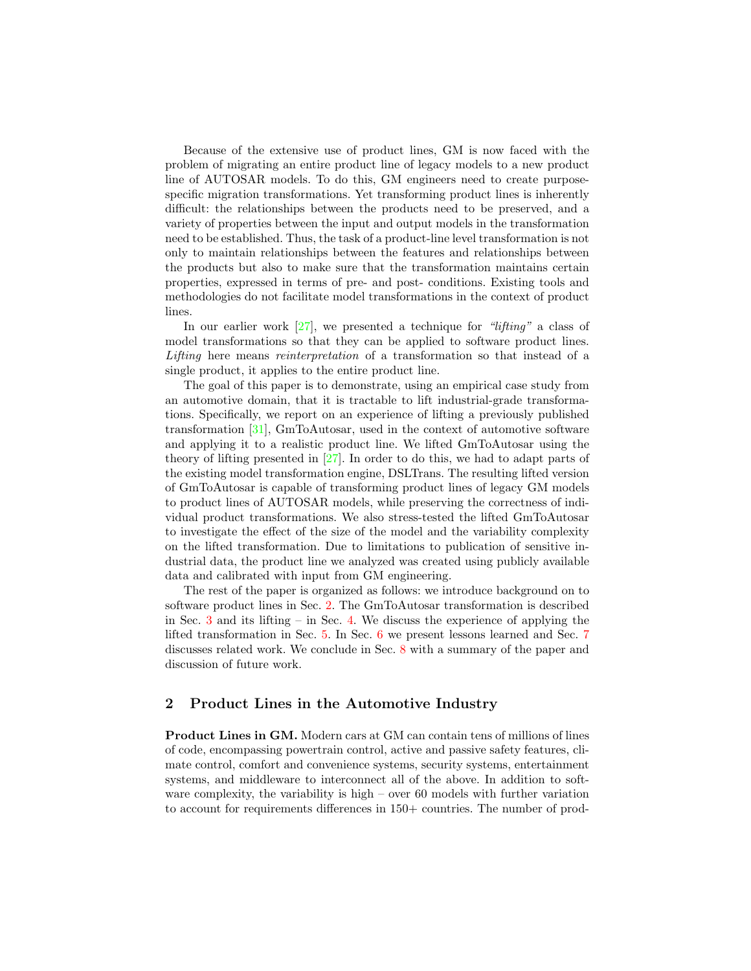Because of the extensive use of product lines, GM is now faced with the problem of migrating an entire product line of legacy models to a new product line of AUTOSAR models. To do this, GM engineers need to create purposespecific migration transformations. Yet transforming product lines is inherently difficult: the relationships between the products need to be preserved, and a variety of properties between the input and output models in the transformation need to be established. Thus, the task of a product-line level transformation is not only to maintain relationships between the features and relationships between the products but also to make sure that the transformation maintains certain properties, expressed in terms of pre- and post- conditions. Existing tools and methodologies do not facilitate model transformations in the context of product lines.

In our earlier work [27], we presented a technique for *"lifting"* a class of model transformations so that they can be applied to software product lines. *Lifting* here means *reinterpretation* of a transformation so that instead of a single product, it applies to the entire product line.

The goal of this paper is to demonstrate, using an empirical case study from an automotive domain, that it is tractable to lift industrial-grade transformations. Specifically, we report on an experience of lifting a previously published transformation [31], GmToAutosar, used in the context of automotive software and applying it to a realistic product line. We lifted GmToAutosar using the theory of lifting presented in [27]. In order to do this, we had to adapt parts of the existing model transformation engine, DSLTrans. The resulting lifted version of GmToAutosar is capable of transforming product lines of legacy GM models to product lines of AUTOSAR models, while preserving the correctness of individual product transformations. We also stress-tested the lifted GmToAutosar to investigate the effect of the size of the model and the variability complexity on the lifted transformation. Due to limitations to publication of sensitive industrial data, the product line we analyzed was created using publicly available data and calibrated with input from GM engineering.

The rest of the paper is organized as follows: we introduce background on to software product lines in Sec. 2. The GmToAutosar transformation is described in Sec. 3 and its lifting – in Sec. 4. We discuss the experience of applying the lifted transformation in Sec. 5. In Sec. 6 we present lessons learned and Sec. 7 discusses related work. We conclude in Sec. 8 with a summary of the paper and discussion of future work.

# 2 Product Lines in the Automotive Industry

Product Lines in GM. Modern cars at GM can contain tens of millions of lines of code, encompassing powertrain control, active and passive safety features, climate control, comfort and convenience systems, security systems, entertainment systems, and middleware to interconnect all of the above. In addition to software complexity, the variability is high – over  $60$  models with further variation to account for requirements differences in  $150+$  countries. The number of prod-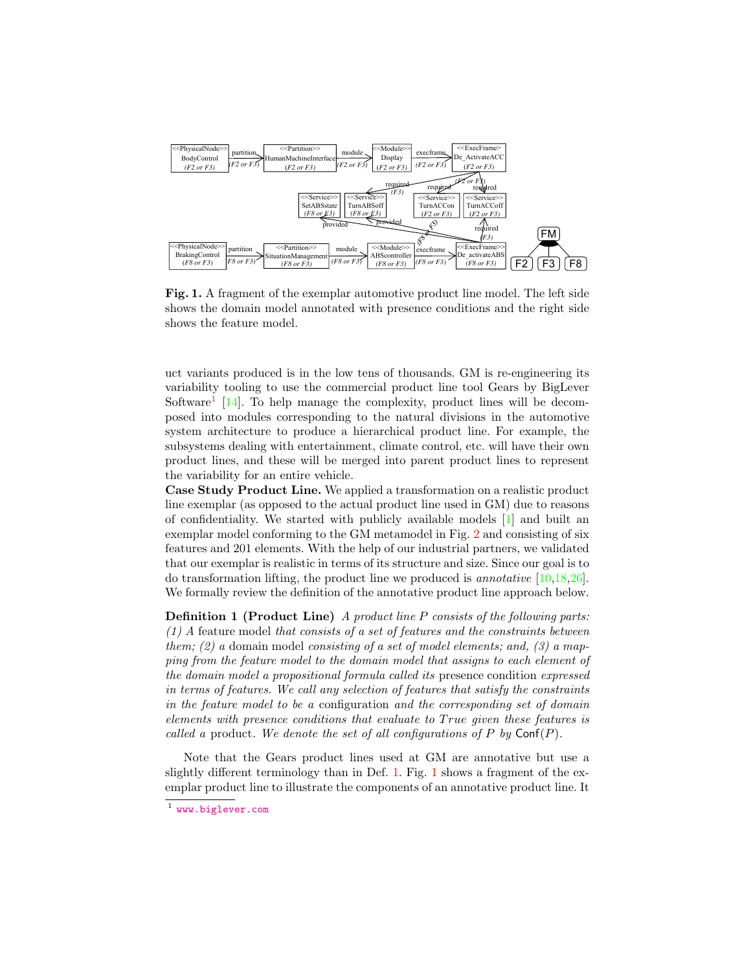

Fig. 1. A fragment of the exemplar automotive product line model. The left side shows the domain model annotated with presence conditions and the right side shows the feature model.

uct variants produced is in the low tens of thousands. GM is re-engineering its variability tooling to use the commercial product line tool Gears by BigLever Software<sup>1</sup> [14]. To help manage the complexity, product lines will be decomposed into modules corresponding to the natural divisions in the automotive system architecture to produce a hierarchical product line. For example, the subsystems dealing with entertainment, climate control, etc. will have their own product lines, and these will be merged into parent product lines to represent the variability for an entire vehicle.

Case Study Product Line. We applied a transformation on a realistic product line exemplar (as opposed to the actual product line used in GM) due to reasons of confidentiality. We started with publicly available models [1] and built an exemplar model conforming to the GM metamodel in Fig. 2 and consisting of six features and 201 elements. With the help of our industrial partners, we validated that our exemplar is realistic in terms of its structure and size. Since our goal is to do transformation lifting, the product line we produced is *annotative* [10,18,26]. We formally review the definition of the annotative product line approach below.

Definition 1 (Product Line) *A product line P consists of the following parts: (1) A* feature model *that consists of a set of features and the constraints between them; (2) a* domain model *consisting of a set of model elements; and, (3) a mapping from the feature model to the domain model that assigns to each element of the domain model a propositional formula called its* presence condition *expressed in terms of features. We call any selection of features that satisfy the constraints in the feature model to be a* configuration *and the corresponding set of domain elements with presence conditions that evaluate to T rue given these features is called a* product. We denote the set of all configurations of  $P$  by  $\text{Conf}(P)$ .

Note that the Gears product lines used at GM are annotative but use a slightly different terminology than in Def. 1. Fig. 1 shows a fragment of the exemplar product line to illustrate the components of an annotative product line. It

 $\overline{1}$  www.biglever.com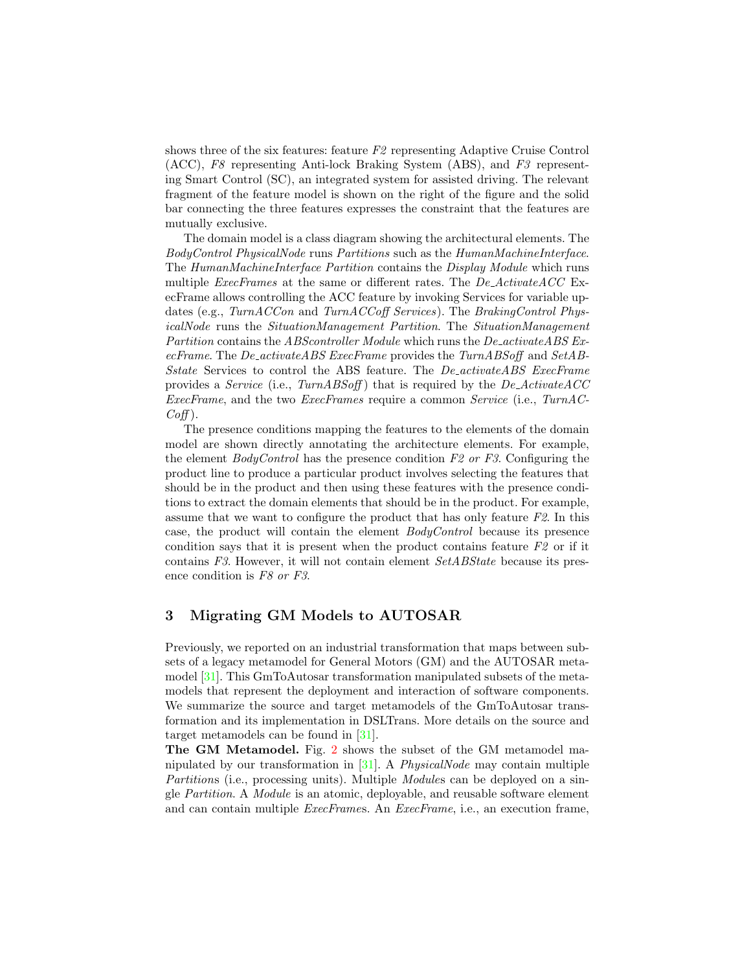shows three of the six features: feature *F2* representing Adaptive Cruise Control (ACC), *F8* representing Anti-lock Braking System (ABS), and *F3* representing Smart Control (SC), an integrated system for assisted driving. The relevant fragment of the feature model is shown on the right of the figure and the solid bar connecting the three features expresses the constraint that the features are mutually exclusive.

The domain model is a class diagram showing the architectural elements. The *BodyControl PhysicalNode* runs *Partitions* such as the *HumanMachineInterface*. The *HumanMachineInterface Partition* contains the *Display Module* which runs multiple *ExecFrames* at the same or different rates. The *De\_ActivateACC* ExecFrame allows controlling the ACC feature by invoking Services for variable updates (e.g., *TurnACCon* and *TurnACCoff Services*). The *BrakingControl PhysicalNode* runs the *SituationManagement Partition*. The *SituationManagement Partition* contains the *ABScontroller Module* which runs the *De activateABS Ex*ecFrame. The *De\_activateABS ExecFrame* provides the *TurnABSoff* and *SetAB-Sstate* Services to control the ABS feature. The *De activateABS ExecFrame* provides a *Service* (i.e., *TurnABSoff*) that is required by the *De\_ActivateACC ExecFrame*, and the two *ExecFrames* require a common *Service* (i.e., *TurnAC-* $Coff$ ).

The presence conditions mapping the features to the elements of the domain model are shown directly annotating the architecture elements. For example, the element *BodyControl* has the presence condition *F2 or F3*. Configuring the product line to produce a particular product involves selecting the features that should be in the product and then using these features with the presence conditions to extract the domain elements that should be in the product. For example, assume that we want to configure the product that has only feature *F2*. In this case, the product will contain the element *BodyControl* because its presence condition says that it is present when the product contains feature *F2* or if it contains *F3*. However, it will not contain element *SetABState* because its presence condition is *F8 or F3*.

# 3 Migrating GM Models to AUTOSAR

Previously, we reported on an industrial transformation that maps between subsets of a legacy metamodel for General Motors (GM) and the AUTOSAR metamodel [31]. This GmToAutosar transformation manipulated subsets of the metamodels that represent the deployment and interaction of software components. We summarize the source and target metamodels of the GmToAutosar transformation and its implementation in DSLTrans. More details on the source and target metamodels can be found in [31].

The GM Metamodel. Fig. 2 shows the subset of the GM metamodel manipulated by our transformation in [31]. A *PhysicalNode* may contain multiple *Partition*s (i.e., processing units). Multiple *Module*s can be deployed on a single *Partition*. A *Module* is an atomic, deployable, and reusable software element and can contain multiple *ExecFrame*s. An *ExecFrame*, i.e., an execution frame,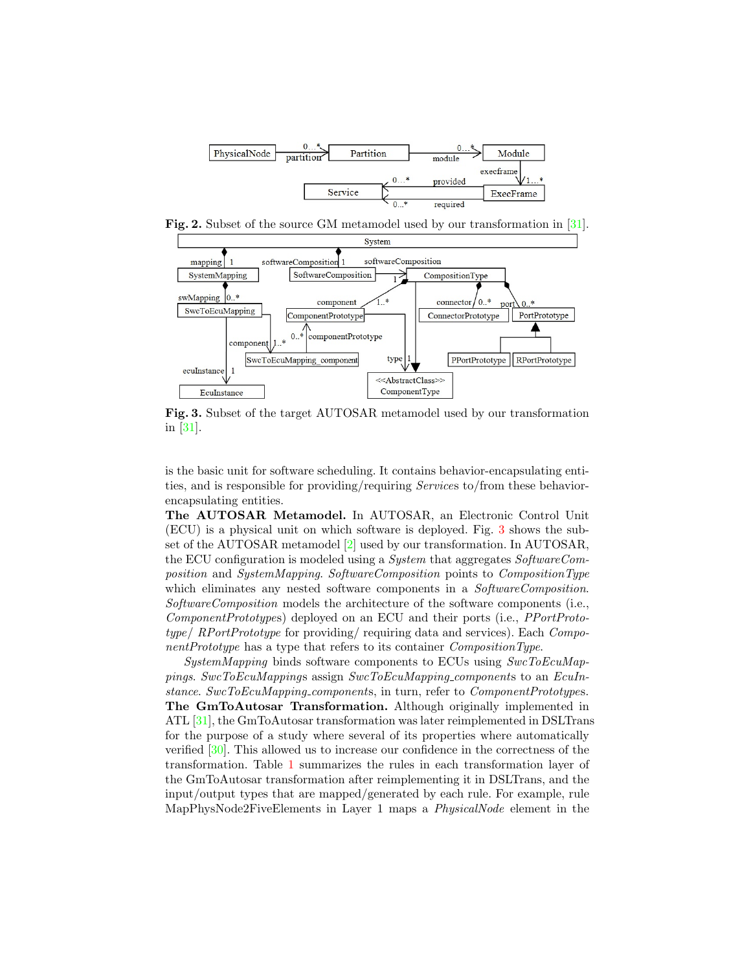

Fig. 2. Subset of the source GM metamodel used by our transformation in [31].



Fig. 3. Subset of the target AUTOSAR metamodel used by our transformation in [31].

is the basic unit for software scheduling. It contains behavior-encapsulating entities, and is responsible for providing/requiring *Service*s to/from these behaviorencapsulating entities.

The AUTOSAR Metamodel. In AUTOSAR, an Electronic Control Unit (ECU) is a physical unit on which software is deployed. Fig. 3 shows the subset of the AUTOSAR metamodel [2] used by our transformation. In AUTOSAR, the ECU configuration is modeled using a *System* that aggregates *SoftwareComposition* and *SystemMapping*. *SoftwareComposition* points to *CompositionType* which eliminates any nested software components in a *SoftwareComposition*. *SoftwareComposition* models the architecture of the software components (i.e., *ComponentPrototype*s) deployed on an ECU and their ports (i.e., *PPortPrototype*/ *RPortPrototype* for providing/ requiring data and services). Each *ComponentPrototype* has a type that refers to its container *CompositionType*.

*SystemMapping* binds software components to ECUs using *SwcToEcuMappings*. *SwcToEcuMapping*s assign *SwcToEcuMapping component*s to an *EcuInstance*. *SwcToEcuMapping component*s, in turn, refer to *ComponentPrototype*s. The GmToAutosar Transformation. Although originally implemented in ATL [31], the GmToAutosar transformation was later reimplemented in DSLTrans for the purpose of a study where several of its properties where automatically verified [30]. This allowed us to increase our confidence in the correctness of the transformation. Table 1 summarizes the rules in each transformation layer of the GmToAutosar transformation after reimplementing it in DSLTrans, and the input/output types that are mapped/generated by each rule. For example, rule MapPhysNode2FiveElements in Layer 1 maps a *PhysicalNode* element in the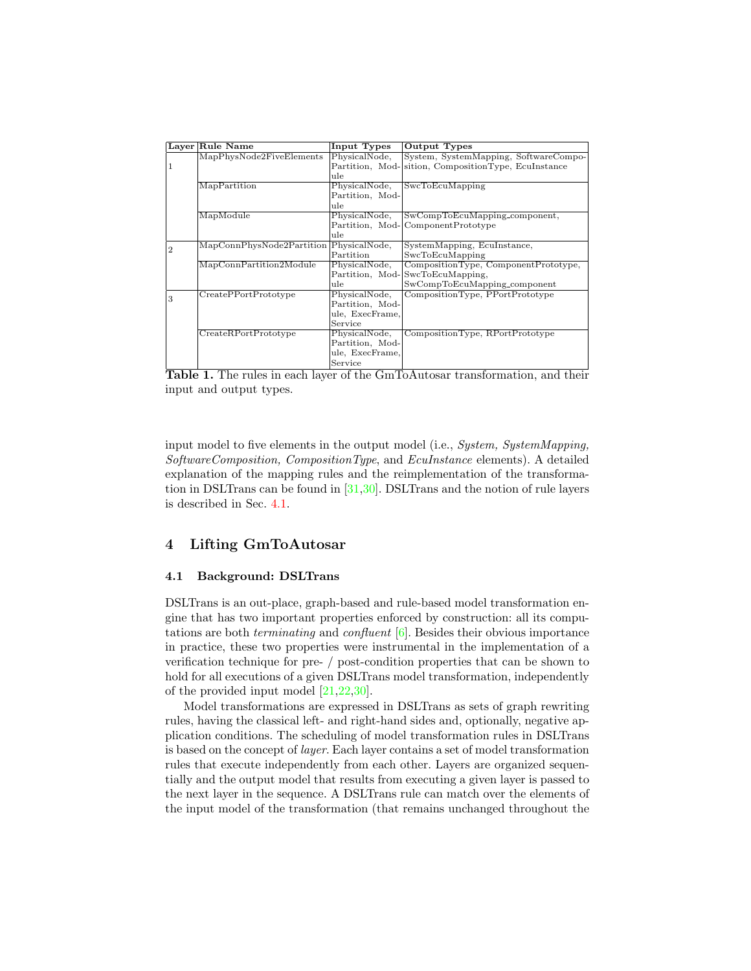|                | Layer Rule Name           | Input Types     | <b>Output Types</b>                                 |
|----------------|---------------------------|-----------------|-----------------------------------------------------|
|                | MapPhysNode2FiveElements  | PhysicalNode,   | System, SystemMapping, SoftwareCompo-               |
|                |                           |                 | Partition, Mod-sition, CompositionType, EcuInstance |
|                |                           | ule             |                                                     |
|                | MapPartition              | PhysicalNode,   | SwcToEcuMapping                                     |
|                |                           | Partition, Mod- |                                                     |
|                |                           | ule             |                                                     |
|                | MapModule                 | PhysicalNode,   | SwCompToEcuMapping_component,                       |
|                |                           |                 | Partition, Mod- ComponentPrototype                  |
|                |                           | ule             |                                                     |
| $\overline{2}$ | MapConnPhysNode2Partition | PhysicalNode,   | SystemMapping, EcuInstance,                         |
|                |                           | Partition       | SwcToEcuMapping                                     |
|                | MapConnPartition2Module   | PhysicalNode,   | CompositionType, ComponentPrototype,                |
|                |                           |                 | Partition, Mod-SwcToEcuMapping,                     |
|                |                           | ule             | SwCompToEcuMapping_component                        |
| 3              | CreatePPortPrototype      | PhysicalNode,   | CompositionType, PPortPrototype                     |
|                |                           | Partition, Mod- |                                                     |
|                |                           | ule, ExecFrame, |                                                     |
|                |                           | Service         |                                                     |
|                | CreateRPortPrototype      | PhysicalNode,   | CompositionType, RPortPrototype                     |
|                |                           | Partition, Mod- |                                                     |
|                |                           | ule, ExecFrame, |                                                     |
|                |                           | Service         |                                                     |

Table 1. The rules in each layer of the GmToAutosar transformation, and their input and output types.

input model to five elements in the output model (i.e., *System, SystemMapping, SoftwareComposition, CompositionType*, and *EcuInstance* elements). A detailed explanation of the mapping rules and the reimplementation of the transformation in DSLTrans can be found in [31,30]. DSLTrans and the notion of rule layers is described in Sec. 4.1.

# 4 Lifting GmToAutosar

#### 4.1 Background: DSLTrans

DSLTrans is an out-place, graph-based and rule-based model transformation engine that has two important properties enforced by construction: all its computations are both *terminating* and *confluent* [6]. Besides their obvious importance in practice, these two properties were instrumental in the implementation of a verification technique for pre- / post-condition properties that can be shown to hold for all executions of a given DSLTrans model transformation, independently of the provided input model [21,22,30].

Model transformations are expressed in DSLTrans as sets of graph rewriting rules, having the classical left- and right-hand sides and, optionally, negative application conditions. The scheduling of model transformation rules in DSLTrans is based on the concept of *layer*. Each layer contains a set of model transformation rules that execute independently from each other. Layers are organized sequentially and the output model that results from executing a given layer is passed to the next layer in the sequence. A DSLTrans rule can match over the elements of the input model of the transformation (that remains unchanged throughout the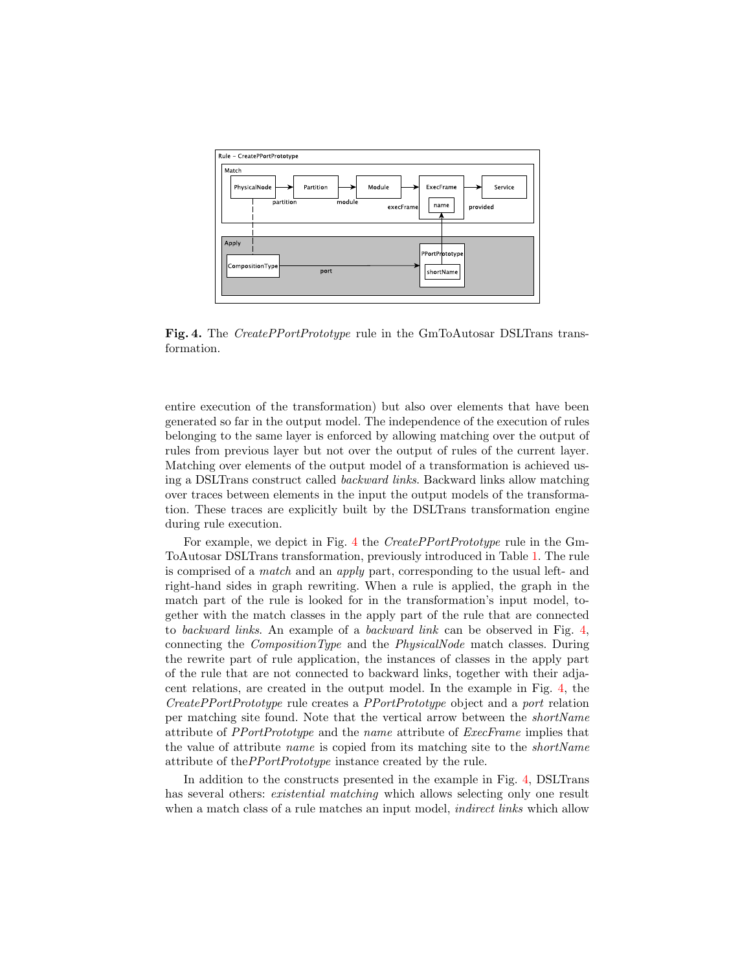

Fig. 4. The *CreatePPortPrototype* rule in the GmToAutosar DSLTrans transformation.

entire execution of the transformation) but also over elements that have been generated so far in the output model. The independence of the execution of rules belonging to the same layer is enforced by allowing matching over the output of rules from previous layer but not over the output of rules of the current layer. Matching over elements of the output model of a transformation is achieved using a DSLTrans construct called *backward links*. Backward links allow matching over traces between elements in the input the output models of the transformation. These traces are explicitly built by the DSLTrans transformation engine during rule execution.

For example, we depict in Fig. 4 the *CreatePPortPrototype* rule in the Gm-ToAutosar DSLTrans transformation, previously introduced in Table 1. The rule is comprised of a *match* and an *apply* part, corresponding to the usual left- and right-hand sides in graph rewriting. When a rule is applied, the graph in the match part of the rule is looked for in the transformation's input model, together with the match classes in the apply part of the rule that are connected to *backward links*. An example of a *backward link* can be observed in Fig. 4, connecting the *CompositionType* and the *PhysicalNode* match classes. During the rewrite part of rule application, the instances of classes in the apply part of the rule that are not connected to backward links, together with their adjacent relations, are created in the output model. In the example in Fig. 4, the *CreatePPortPrototype* rule creates a *PPortPrototype* object and a *port* relation per matching site found. Note that the vertical arrow between the *shortName* attribute of *PPortPrototype* and the *name* attribute of *ExecFrame* implies that the value of attribute *name* is copied from its matching site to the *shortName* attribute of the*PPortPrototype* instance created by the rule.

In addition to the constructs presented in the example in Fig. 4, DSLTrans has several others: *existential matching* which allows selecting only one result when a match class of a rule matches an input model, *indirect links* which allow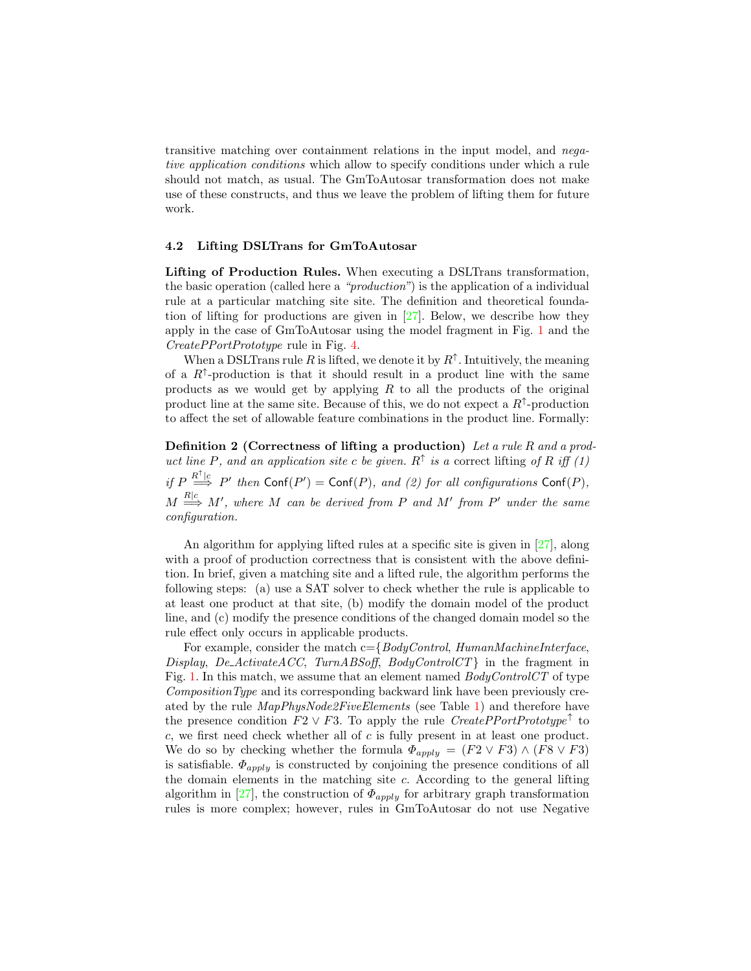transitive matching over containment relations in the input model, and *negative application conditions* which allow to specify conditions under which a rule should not match, as usual. The GmToAutosar transformation does not make use of these constructs, and thus we leave the problem of lifting them for future work.

#### 4.2 Lifting DSLTrans for GmToAutosar

Lifting of Production Rules. When executing a DSLTrans transformation, the basic operation (called here a *"production"*) is the application of a individual rule at a particular matching site site. The definition and theoretical foundation of lifting for productions are given in [27]. Below, we describe how they apply in the case of GmToAutosar using the model fragment in Fig. 1 and the *CreatePPortPrototype* rule in Fig. 4.

When a DSLTrans rule R is lifted, we denote it by  $R^{\uparrow}$ . Intuitively, the meaning of a  $R^{\uparrow}$ -production is that it should result in a product line with the same products as we would get by applying *R* to all the products of the original product line at the same site. Because of this, we do not expect a  $R^{\uparrow}$ -production to affect the set of allowable feature combinations in the product line. Formally:

Definition 2 (Correctness of lifting a production) *Let a rule R and a product line P*, and an application site c be given.  $R^{\uparrow}$  is a correct lifting of R iff (1) *if*  $P \overset{R^{\top}|c}{\Longrightarrow} P'$  *then*  $\text{Conf}(P') = \text{Conf}(P)$ *, and (2) for all configurations*  $\text{Conf}(P)$ *,*  $M \stackrel{R|c}{\Longrightarrow} M'$ , where M can be derived from P and M' from P' under the same *configuration.*

An algorithm for applying lifted rules at a specific site is given in [27], along with a proof of production correctness that is consistent with the above definition. In brief, given a matching site and a lifted rule, the algorithm performs the following steps: (a) use a SAT solver to check whether the rule is applicable to at least one product at that site, (b) modify the domain model of the product line, and (c) modify the presence conditions of the changed domain model so the rule effect only occurs in applicable products.

For example, consider the match c=*{BodyControl*, *HumanMachineInterface*, *Display, De\_ActivateACC, TurnABSoff, BodyControlCT*} in the fragment in Fig. 1. In this match, we assume that an element named *BodyControlCT* of type *CompositionType* and its corresponding backward link have been previously created by the rule *MapPhysNode2FiveElements* (see Table 1) and therefore have the presence condition  $F2 \vee F3$ . To apply the rule *CreatePPortPrototype*<sup> $\uparrow$ </sup> to *c*, we first need check whether all of *c* is fully present in at least one product. We do so by checking whether the formula  $\Phi_{apply} = (F2 \vee F3) \wedge (F8 \vee F3)$ is satisfiable.  $\Phi_{apply}$  is constructed by conjoining the presence conditions of all the domain elements in the matching site *c*. According to the general lifting algorithm in [27], the construction of  $\Phi_{apply}$  for arbitrary graph transformation rules is more complex; however, rules in GmToAutosar do not use Negative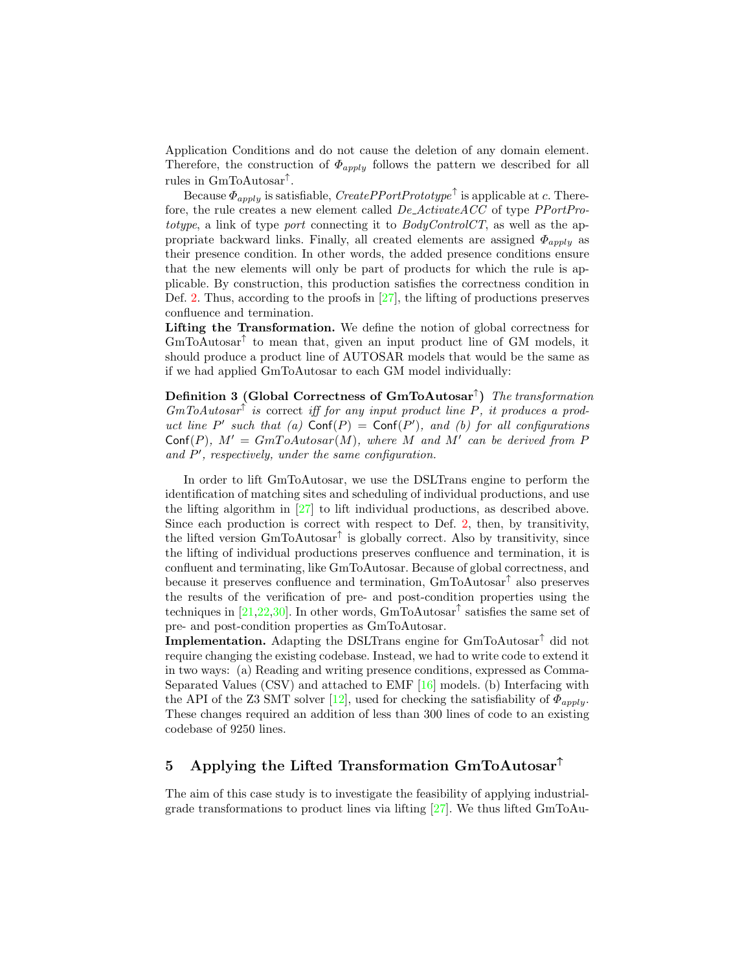Application Conditions and do not cause the deletion of any domain element. Therefore, the construction of  $\Phi_{apply}$  follows the pattern we described for all rules in  $GmToAutosar$ <sup> $\uparrow$ </sup>.

Because  $\Phi_{apply}$  is satisfiable, *CreatePPortPrototype*<sup> $\uparrow$ </sup> is applicable at *c*. Therefore, the rule creates a new element called *De ActivateACC* of type *PPortPrototype*, a link of type *port* connecting it to *BodyControlCT*, as well as the appropriate backward links. Finally, all created elements are assigned  $\Phi_{apply}$  as their presence condition. In other words, the added presence conditions ensure that the new elements will only be part of products for which the rule is applicable. By construction, this production satisfies the correctness condition in Def. 2. Thus, according to the proofs in [27], the lifting of productions preserves confluence and termination.

Lifting the Transformation. We define the notion of global correctness for  $GmToAutosar^{\uparrow}$  to mean that, given an input product line of GM models, it should produce a product line of AUTOSAR models that would be the same as if we had applied GmToAutosar to each GM model individually:

Definition 3 (Global Correctness of GmToAutosar") *The transformation*  $GmToAutosar^{\uparrow}$  *is* correct *iff for any input product line P, it produces a product line*  $P'$  *such that* (a)  $\text{Conf}(P) = \text{Conf}(P')$ , and (b) for all configurations  $\text{Conf}(P)$ *,*  $M' = GmToAutosar(M)$ *, where M* and *M'* can be derived from *P* and  $P'$ , respectively, under the same configuration.

In order to lift GmToAutosar, we use the DSLTrans engine to perform the identification of matching sites and scheduling of individual productions, and use the lifting algorithm in [27] to lift individual productions, as described above. Since each production is correct with respect to Def. 2, then, by transitivity, the lifted version GmToAutosar<sup> $\uparrow$ </sup> is globally correct. Also by transitivity, since the lifting of individual productions preserves confluence and termination, it is confluent and terminating, like GmToAutosar. Because of global correctness, and because it preserves confluence and termination,  $GmToAutosar^{\uparrow}$  also preserves the results of the verification of pre- and post-condition properties using the techniques in [21,22,30]. In other words, GmToAutosar<sup> $\uparrow$ </sup> satisfies the same set of pre- and post-condition properties as GmToAutosar.

Implementation. Adapting the DSLTrans engine for GmToAutosar<sup>1</sup> did not require changing the existing codebase. Instead, we had to write code to extend it in two ways: (a) Reading and writing presence conditions, expressed as Comma-Separated Values (CSV) and attached to EMF [16] models. (b) Interfacing with the API of the Z3 SMT solver [12], used for checking the satisfiability of  $\Phi_{apply}$ . These changes required an addition of less than 300 lines of code to an existing codebase of 9250 lines.

# 5 Applying the Lifted Transformation GmToAutosar $\uparrow$

The aim of this case study is to investigate the feasibility of applying industrialgrade transformations to product lines via lifting [27]. We thus lifted GmToAu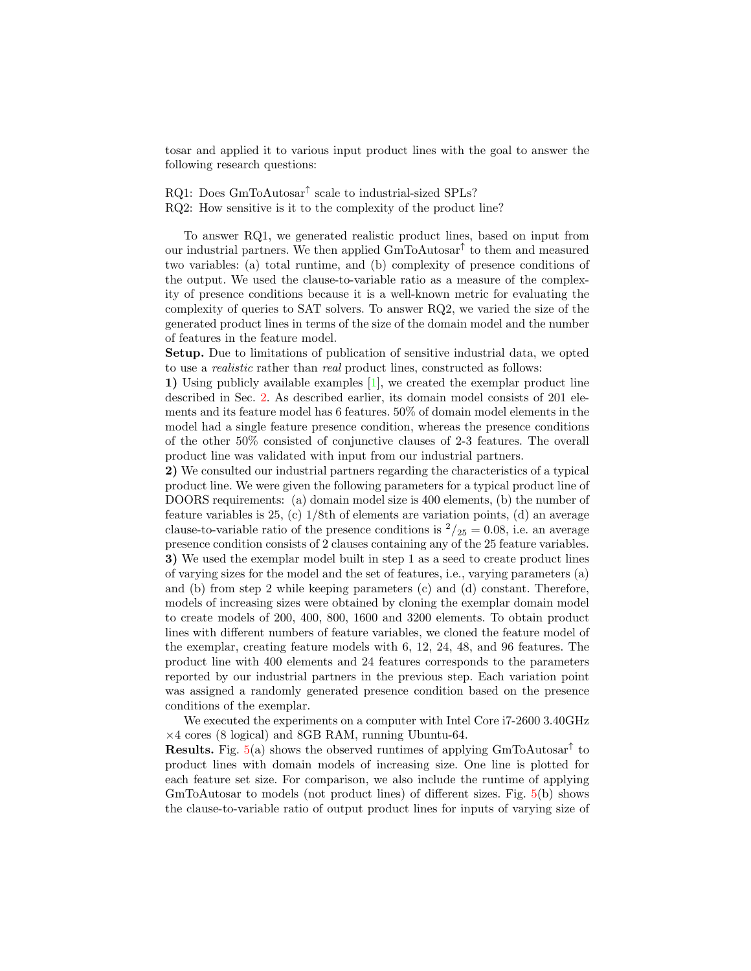tosar and applied it to various input product lines with the goal to answer the following research questions:

RQ1: Does  $GmToAutosar^{\uparrow}$  scale to industrial-sized SPLs? RQ2: How sensitive is it to the complexity of the product line?

To answer RQ1, we generated realistic product lines, based on input from our industrial partners. We then applied  $GmToAutosar^{\uparrow}$  to them and measured two variables: (a) total runtime, and (b) complexity of presence conditions of the output. We used the clause-to-variable ratio as a measure of the complexity of presence conditions because it is a well-known metric for evaluating the complexity of queries to SAT solvers. To answer RQ2, we varied the size of the generated product lines in terms of the size of the domain model and the number of features in the feature model.

Setup. Due to limitations of publication of sensitive industrial data, we opted to use a *realistic* rather than *real* product lines, constructed as follows:

1) Using publicly available examples [1], we created the exemplar product line described in Sec. 2. As described earlier, its domain model consists of 201 elements and its feature model has 6 features. 50% of domain model elements in the model had a single feature presence condition, whereas the presence conditions of the other 50% consisted of conjunctive clauses of 2-3 features. The overall product line was validated with input from our industrial partners.

2) We consulted our industrial partners regarding the characteristics of a typical product line. We were given the following parameters for a typical product line of DOORS requirements: (a) domain model size is 400 elements, (b) the number of feature variables is 25, (c) 1/8th of elements are variation points, (d) an average clause-to-variable ratio of the presence conditions is  $\frac{2}{25} = 0.08$ , i.e. an average presence condition consists of 2 clauses containing any of the 25 feature variables. 3) We used the exemplar model built in step 1 as a seed to create product lines of varying sizes for the model and the set of features, i.e., varying parameters (a) and (b) from step 2 while keeping parameters (c) and (d) constant. Therefore, models of increasing sizes were obtained by cloning the exemplar domain model to create models of 200, 400, 800, 1600 and 3200 elements. To obtain product lines with different numbers of feature variables, we cloned the feature model of the exemplar, creating feature models with 6, 12, 24, 48, and 96 features. The product line with 400 elements and 24 features corresponds to the parameters reported by our industrial partners in the previous step. Each variation point was assigned a randomly generated presence condition based on the presence conditions of the exemplar.

We executed the experiments on a computer with Intel Core i7-2600 3.40GHz  $\times$ 4 cores (8 logical) and 8GB RAM, running Ubuntu-64.

**Results.** Fig. 5(a) shows the observed runtimes of applying  $GmToAutosar^{\uparrow}$  to product lines with domain models of increasing size. One line is plotted for each feature set size. For comparison, we also include the runtime of applying GmToAutosar to models (not product lines) of different sizes. Fig.  $5(b)$  shows the clause-to-variable ratio of output product lines for inputs of varying size of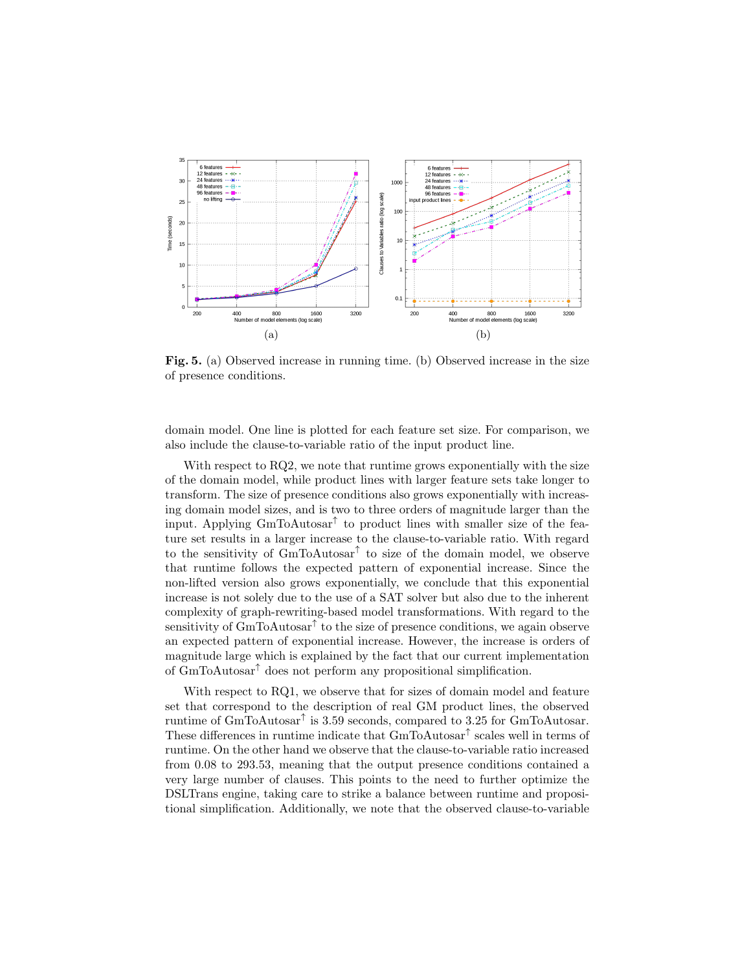

Fig. 5. (a) Observed increase in running time. (b) Observed increase in the size of presence conditions.

domain model. One line is plotted for each feature set size. For comparison, we also include the clause-to-variable ratio of the input product line.

With respect to  $RQ2$ , we note that runtime grows exponentially with the size of the domain model, while product lines with larger feature sets take longer to transform. The size of presence conditions also grows exponentially with increasing domain model sizes, and is two to three orders of magnitude larger than the input. Applying  $GmToAutosar^{\uparrow}$  to product lines with smaller size of the feature set results in a larger increase to the clause-to-variable ratio. With regard to the sensitivity of  $GmToAutosar^{\uparrow}$  to size of the domain model, we observe that runtime follows the expected pattern of exponential increase. Since the non-lifted version also grows exponentially, we conclude that this exponential increase is not solely due to the use of a SAT solver but also due to the inherent complexity of graph-rewriting-based model transformations. With regard to the sensitivity of  $GmToAutosar^{\uparrow}$  to the size of presence conditions, we again observe an expected pattern of exponential increase. However, the increase is orders of magnitude large which is explained by the fact that our current implementation of GmToAutosar" does not perform any propositional simplification.

With respect to RQ1, we observe that for sizes of domain model and feature set that correspond to the description of real GM product lines, the observed runtime of  $GmToAutosar^{\uparrow}$  is 3.59 seconds, compared to 3.25 for  $GmToAutosar$ . These differences in runtime indicate that  $GmToAutosar^{\uparrow}$  scales well in terms of runtime. On the other hand we observe that the clause-to-variable ratio increased from 0.08 to 293.53, meaning that the output presence conditions contained a very large number of clauses. This points to the need to further optimize the DSLTrans engine, taking care to strike a balance between runtime and propositional simplification. Additionally, we note that the observed clause-to-variable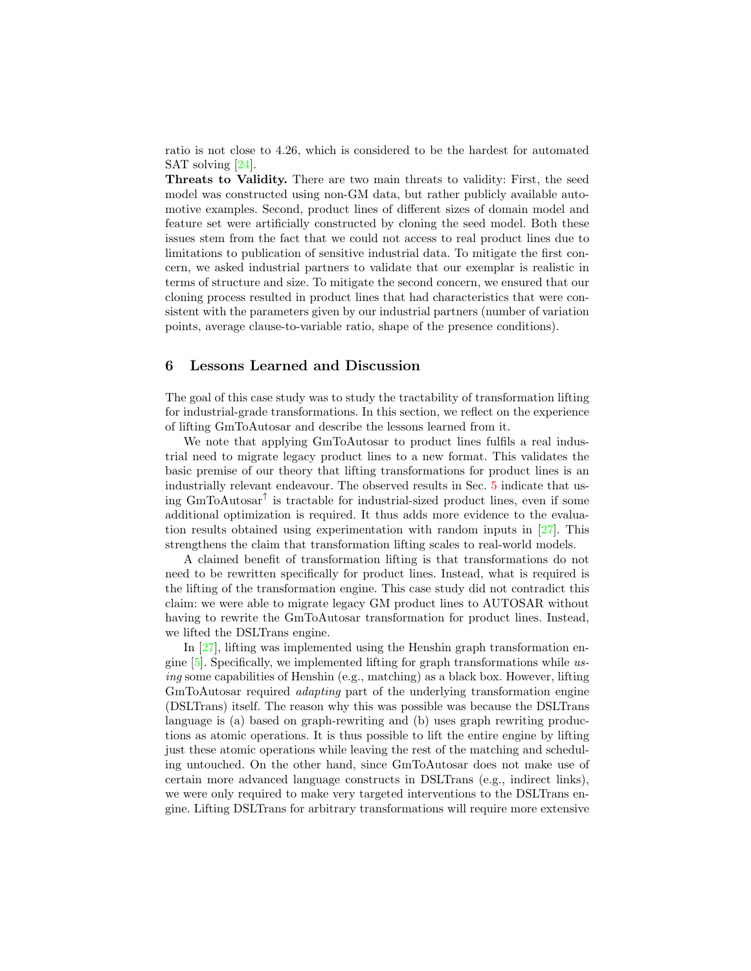ratio is not close to 4.26, which is considered to be the hardest for automated SAT solving [24].

Threats to Validity. There are two main threats to validity: First, the seed model was constructed using non-GM data, but rather publicly available automotive examples. Second, product lines of different sizes of domain model and feature set were artificially constructed by cloning the seed model. Both these issues stem from the fact that we could not access to real product lines due to limitations to publication of sensitive industrial data. To mitigate the first concern, we asked industrial partners to validate that our exemplar is realistic in terms of structure and size. To mitigate the second concern, we ensured that our cloning process resulted in product lines that had characteristics that were consistent with the parameters given by our industrial partners (number of variation points, average clause-to-variable ratio, shape of the presence conditions).

# 6 Lessons Learned and Discussion

The goal of this case study was to study the tractability of transformation lifting for industrial-grade transformations. In this section, we reflect on the experience of lifting GmToAutosar and describe the lessons learned from it.

We note that applying GmToAutosar to product lines fulfils a real industrial need to migrate legacy product lines to a new format. This validates the basic premise of our theory that lifting transformations for product lines is an industrially relevant endeavour. The observed results in Sec. 5 indicate that using  $GmToAutosar^{\uparrow}$  is tractable for industrial-sized product lines, even if some additional optimization is required. It thus adds more evidence to the evaluation results obtained using experimentation with random inputs in [27]. This strengthens the claim that transformation lifting scales to real-world models.

A claimed benefit of transformation lifting is that transformations do not need to be rewritten specifically for product lines. Instead, what is required is the lifting of the transformation engine. This case study did not contradict this claim: we were able to migrate legacy GM product lines to AUTOSAR without having to rewrite the GmToAutosar transformation for product lines. Instead, we lifted the DSLTrans engine.

In [27], lifting was implemented using the Henshin graph transformation engine [5]. Specifically, we implemented lifting for graph transformations while *using* some capabilities of Henshin (e.g., matching) as a black box. However, lifting GmToAutosar required *adapting* part of the underlying transformation engine (DSLTrans) itself. The reason why this was possible was because the DSLTrans language is (a) based on graph-rewriting and (b) uses graph rewriting productions as atomic operations. It is thus possible to lift the entire engine by lifting just these atomic operations while leaving the rest of the matching and scheduling untouched. On the other hand, since GmToAutosar does not make use of certain more advanced language constructs in DSLTrans (e.g., indirect links), we were only required to make very targeted interventions to the DSLTrans engine. Lifting DSLTrans for arbitrary transformations will require more extensive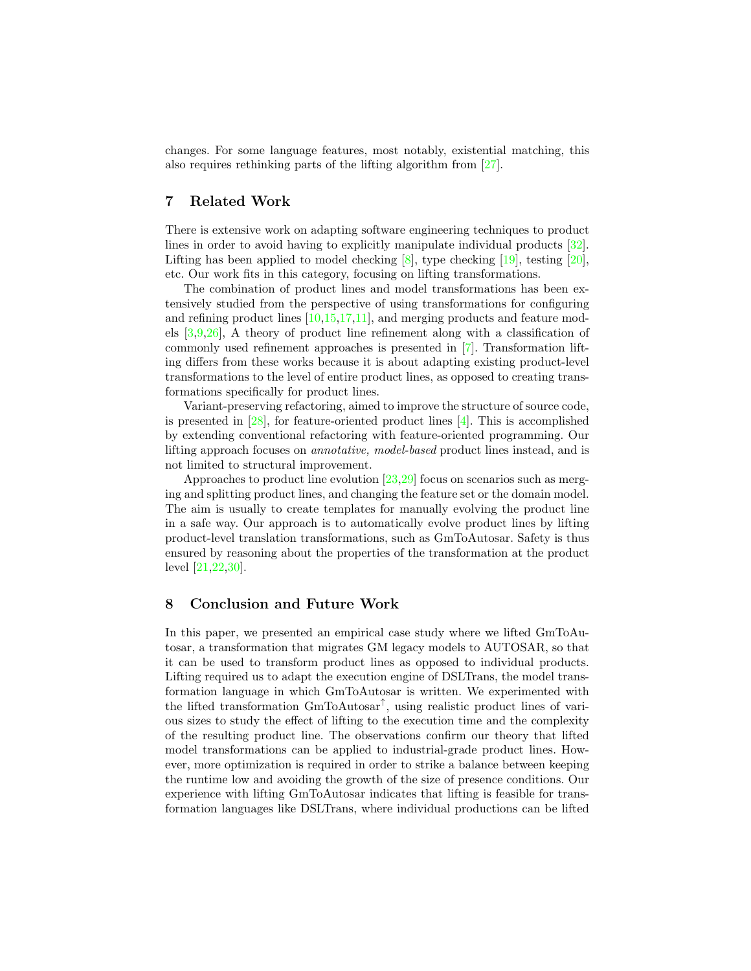changes. For some language features, most notably, existential matching, this also requires rethinking parts of the lifting algorithm from [27].

# 7 Related Work

There is extensive work on adapting software engineering techniques to product lines in order to avoid having to explicitly manipulate individual products [32]. Lifting has been applied to model checking  $[8]$ , type checking  $[19]$ , testing  $[20]$ , etc. Our work fits in this category, focusing on lifting transformations.

The combination of product lines and model transformations has been extensively studied from the perspective of using transformations for configuring and refining product lines [10,15,17,11], and merging products and feature models [3,9,26], A theory of product line refinement along with a classification of commonly used refinement approaches is presented in [7]. Transformation lifting differs from these works because it is about adapting existing product-level transformations to the level of entire product lines, as opposed to creating transformations specifically for product lines.

Variant-preserving refactoring, aimed to improve the structure of source code, is presented in  $[28]$ , for feature-oriented product lines  $[4]$ . This is accomplished by extending conventional refactoring with feature-oriented programming. Our lifting approach focuses on *annotative, model-based* product lines instead, and is not limited to structural improvement.

Approaches to product line evolution  $[23,29]$  focus on scenarios such as merging and splitting product lines, and changing the feature set or the domain model. The aim is usually to create templates for manually evolving the product line in a safe way. Our approach is to automatically evolve product lines by lifting product-level translation transformations, such as GmToAutosar. Safety is thus ensured by reasoning about the properties of the transformation at the product level [21,22,30].

### 8 Conclusion and Future Work

In this paper, we presented an empirical case study where we lifted GmToAutosar, a transformation that migrates GM legacy models to AUTOSAR, so that it can be used to transform product lines as opposed to individual products. Lifting required us to adapt the execution engine of DSLTrans, the model transformation language in which GmToAutosar is written. We experimented with the lifted transformation  $GmToAutosar^{\uparrow}$ , using realistic product lines of various sizes to study the effect of lifting to the execution time and the complexity of the resulting product line. The observations confirm our theory that lifted model transformations can be applied to industrial-grade product lines. However, more optimization is required in order to strike a balance between keeping the runtime low and avoiding the growth of the size of presence conditions. Our experience with lifting GmToAutosar indicates that lifting is feasible for transformation languages like DSLTrans, where individual productions can be lifted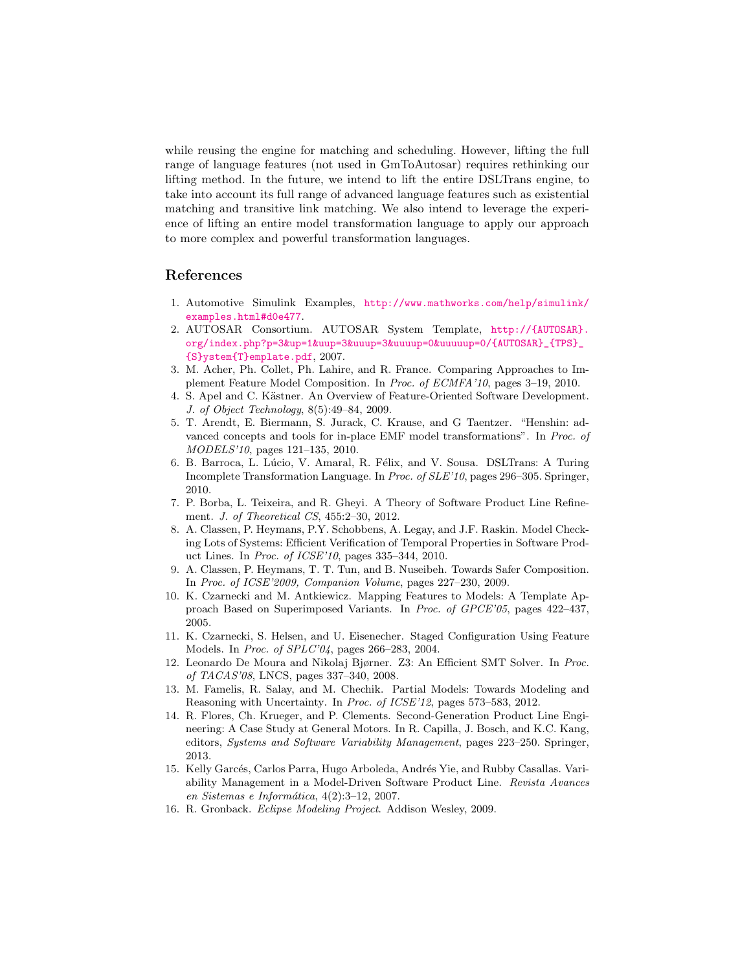while reusing the engine for matching and scheduling. However, lifting the full range of language features (not used in GmToAutosar) requires rethinking our lifting method. In the future, we intend to lift the entire DSLTrans engine, to take into account its full range of advanced language features such as existential matching and transitive link matching. We also intend to leverage the experience of lifting an entire model transformation language to apply our approach to more complex and powerful transformation languages.

# References

- 1. Automotive Simulink Examples, http://www.mathworks.com/help/simulink/ examples.html#d0e477.
- 2. AUTOSAR Consortium. AUTOSAR System Template, http://{AUTOSAR}. org/index.php?p=3&up=1&uup=3&uuup=3&uuuup=0&uuuuup=0/{AUTOSAR}\_{TPS}\_ {S}ystem{T}emplate.pdf, 2007.
- 3. M. Acher, Ph. Collet, Ph. Lahire, and R. France. Comparing Approaches to Implement Feature Model Composition. In *Proc. of ECMFA'10*, pages 3–19, 2010.
- 4. S. Apel and C. Kästner. An Overview of Feature-Oriented Software Development. *J. of Object Technology*, 8(5):49–84, 2009.
- 5. T. Arendt, E. Biermann, S. Jurack, C. Krause, and G Taentzer. "Henshin: advanced concepts and tools for in-place EMF model transformations". In *Proc. of MODELS'10*, pages 121–135, 2010.
- 6. B. Barroca, L. Lúcio, V. Amaral, R. Félix, and V. Sousa. DSLTrans: A Turing Incomplete Transformation Language. In *Proc. of SLE'10*, pages 296–305. Springer, 2010.
- 7. P. Borba, L. Teixeira, and R. Gheyi. A Theory of Software Product Line Refinement. *J. of Theoretical CS*, 455:2–30, 2012.
- 8. A. Classen, P. Heymans, P.Y. Schobbens, A. Legay, and J.F. Raskin. Model Checking Lots of Systems: Efficient Verification of Temporal Properties in Software Product Lines. In *Proc. of ICSE'10*, pages 335–344, 2010.
- 9. A. Classen, P. Heymans, T. T. Tun, and B. Nuseibeh. Towards Safer Composition. In *Proc. of ICSE'2009, Companion Volume*, pages 227–230, 2009.
- 10. K. Czarnecki and M. Antkiewicz. Mapping Features to Models: A Template Approach Based on Superimposed Variants. In *Proc. of GPCE'05*, pages 422–437, 2005.
- 11. K. Czarnecki, S. Helsen, and U. Eisenecher. Staged Configuration Using Feature Models. In *Proc. of SPLC'04*, pages 266–283, 2004.
- 12. Leonardo De Moura and Nikolaj Bjørner. Z3: An Efficient SMT Solver. In *Proc. of TACAS'08*, LNCS, pages 337–340, 2008.
- 13. M. Famelis, R. Salay, and M. Chechik. Partial Models: Towards Modeling and Reasoning with Uncertainty. In *Proc. of ICSE'12*, pages 573–583, 2012.
- 14. R. Flores, Ch. Krueger, and P. Clements. Second-Generation Product Line Engineering: A Case Study at General Motors. In R. Capilla, J. Bosch, and K.C. Kang, editors, *Systems and Software Variability Management*, pages 223–250. Springer, 2013.
- 15. Kelly Garcés, Carlos Parra, Hugo Arboleda, Andrés Yie, and Rubby Casallas. Variability Management in a Model-Driven Software Product Line. *Revista Avances en Sistemas e Inform´atica*, 4(2):3–12, 2007.
- 16. R. Gronback. *Eclipse Modeling Project*. Addison Wesley, 2009.